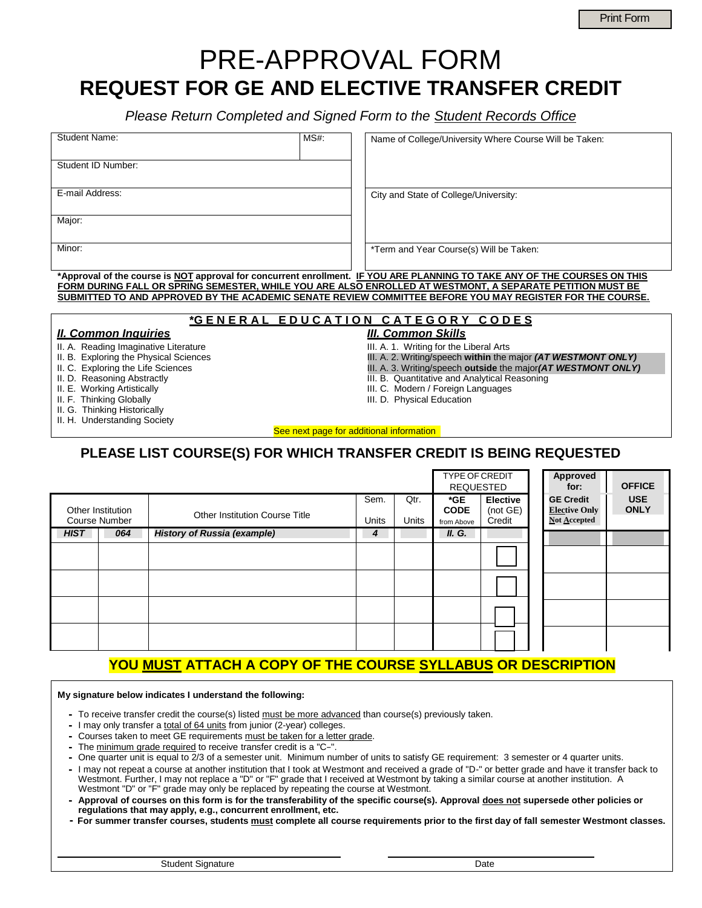# PRE-APPROVAL FORM **REQUEST FOR GE AND ELECTIVE TRANSFER CREDIT**

*Please Return Completed and Signed Form to the Student Records Office*

| <b>Student Name:</b> | $MS#$ : | Name of College/University Where Course Will be Taken:                                                                    |
|----------------------|---------|---------------------------------------------------------------------------------------------------------------------------|
|                      |         |                                                                                                                           |
|                      |         |                                                                                                                           |
| Student ID Number:   |         |                                                                                                                           |
|                      |         |                                                                                                                           |
|                      |         |                                                                                                                           |
|                      |         |                                                                                                                           |
| E-mail Address:      |         | City and State of College/University:                                                                                     |
|                      |         |                                                                                                                           |
|                      |         |                                                                                                                           |
| Major:               |         |                                                                                                                           |
|                      |         |                                                                                                                           |
|                      |         |                                                                                                                           |
| Minor:               |         | *Term and Year Course(s) Will be Taken:                                                                                   |
|                      |         |                                                                                                                           |
|                      |         |                                                                                                                           |
|                      |         | *Approval of the course is NOT approval for concurrent enrollment. IF YOU ARE PLANNING TO TAKE ANY OF THE COURSES ON THIS |

**\*Approval of the course is NOT approval for concurrent enrollment. IF YOU ARE PLANNING TO TAKE ANY OF THE COURSES ON THIS FORM DURING FALL OR SPRING SEMESTER, WHILE YOU ARE ALSO ENROLLED AT WESTMONT, A SEPARATE PETITION MUST BE SUBMITTED TO AND APPROVED BY THE ACADEMIC SENATE REVIEW COMMITTEE BEFORE YOU MAY REGISTER FOR THE COURSE.**

#### **\*G E N E R A L E D U C A T I O N C A T E G O R Y C O D E S**

III. B. Quantitative and Analytical Reasoning III. C. Modern / Foreign Languages

*II. Common Inquiries III. Common Skills*

- II. A. Reading Imaginative Literature
- II. B. Exploring the Physical Sciences **III. A. 2. Writing/speech within** the major *(AT WESTMONT ONLY)*
- II. C. Exploring the Life Sciences **III. A. 3. Writing/speech outside** the major(AT WESTMONT ONLY)<br>II. D. Reasoning Abstractly
- 
- II. E. Working Artistically **III. III. C. Modern / Foreign Li**<br>
II. F. Thinking Globally **III. D. Physical Education**
- 
- II. G. Thinking Historically
- II. H. Understanding Society

See next page for additional information

### **PLEASE LIST COURSE(S) FOR WHICH TRANSFER CREDIT IS BEING REQUESTED**

|             |                                           |                                       |               |               | <b>TYPE OF CREDIT</b><br><b>REQUESTED</b> |                                       |  | Approved<br>for:                                         | <b>OFFICE</b>             |
|-------------|-------------------------------------------|---------------------------------------|---------------|---------------|-------------------------------------------|---------------------------------------|--|----------------------------------------------------------|---------------------------|
|             | Other Institution<br><b>Course Number</b> | <b>Other Institution Course Title</b> | Sem.<br>Units | Qtr.<br>Units | *GE<br><b>CODE</b><br>from Above          | <b>Elective</b><br>(not GE)<br>Credit |  | <b>GE Credit</b><br><b>Elective Only</b><br>Not Accepted | <b>USE</b><br><b>ONLY</b> |
| <b>HIST</b> | 064                                       | <b>History of Russia (example)</b>    | 4             |               | II. G.                                    |                                       |  |                                                          |                           |
|             |                                           |                                       |               |               |                                           |                                       |  |                                                          |                           |
|             |                                           |                                       |               |               |                                           |                                       |  |                                                          |                           |
|             |                                           |                                       |               |               |                                           |                                       |  |                                                          |                           |
|             |                                           |                                       |               |               |                                           |                                       |  |                                                          |                           |

## **YOU MUST ATTACH A COPY OF THE COURSE SYLLABUS OR DESCRIPTION**

#### **My signature below indicates I understand the following:**

- **-** To receive transfer credit the course(s) listed must be more advanced than course(s) previously taken.
- **-** I may only transfer a total of 64 units from junior (2-year) colleges.
- **-** Courses taken to meet GE requirements must be taken for a letter grade.
- **-** The minimum grade required to receive transfer credit is a "C−".
- **-** One quarter unit is equal to 2/3 of a semester unit. Minimum number of units to satisfy GE requirement: 3 semester or 4 quarter units.
- **-** I may not repeat a course at another institution that I took at Westmont and received a grade of "D-" or better grade and have it transfer back to Westmont. Further, I may not replace a "D" or "F" grade that I received at Westmont by taking a similar course at another institution. A Westmont "D" or "F" grade may only be replaced by repeating the course at Westmont.
- **- Approval of courses on this form is for the transferability of the specific course(s). Approval does not supersede other policies or regulations that may apply, e.g., concurrent enrollment, etc.**
- **- For summer transfer courses, students must complete all course requirements prior to the first day of fall semester Westmont classes.**